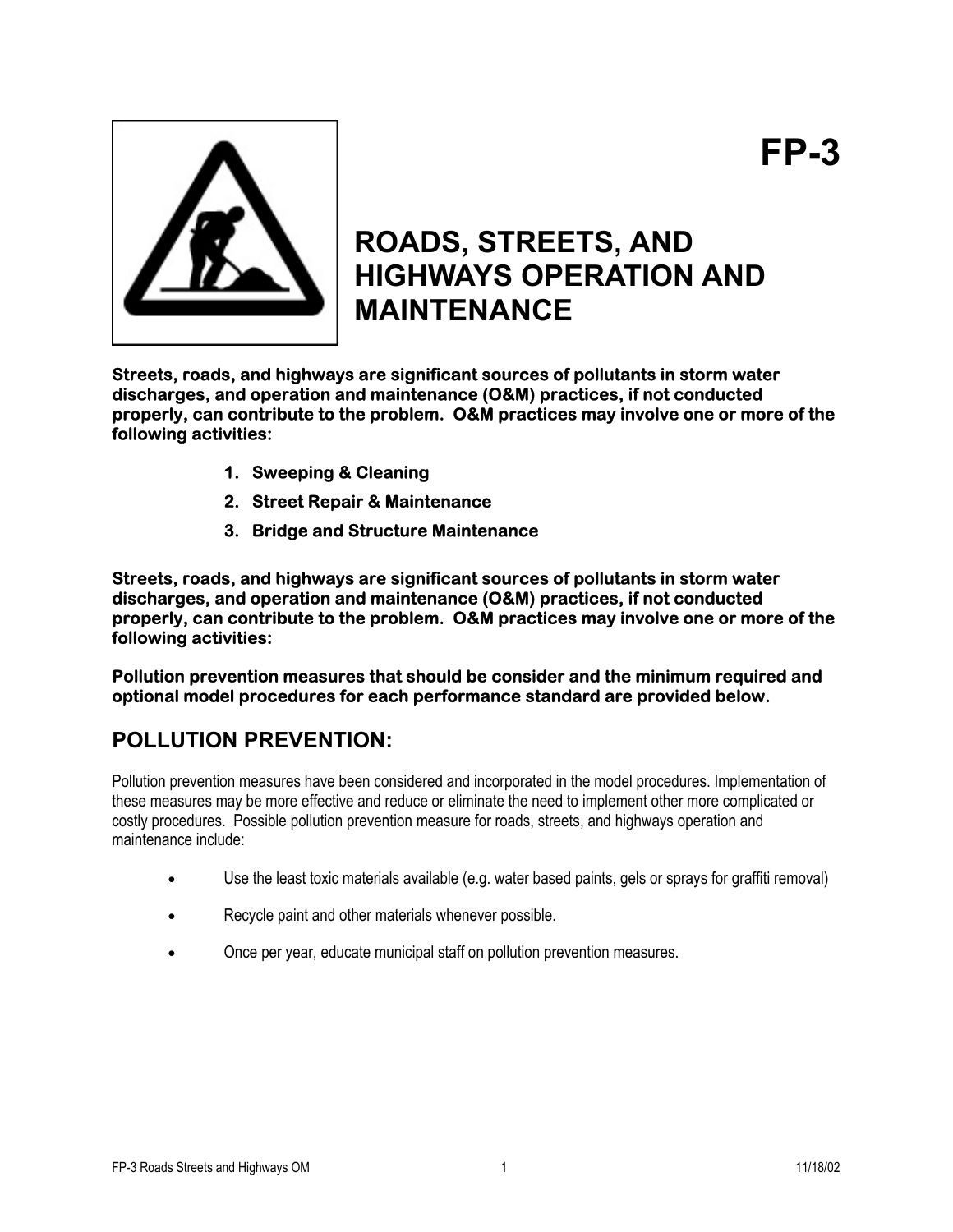

# **ROADS, STREETS, AND HIGHWAYS OPERATION AND MAINTENANCE**

**Streets, roads, and highways are significant sources of pollutants in storm water discharges, and operation and maintenance (O&M) practices, if not conducted properly, can contribute to the problem. O&M practices may involve one or more of the following activities:** 

- **1. Sweeping & Cleaning**
- **2. Street Repair & Maintenance**
- **3. Bridge and Structure Maintenance**

**Streets, roads, and highways are significant sources of pollutants in storm water discharges, and operation and maintenance (O&M) practices, if not conducted properly, can contribute to the problem. O&M practices may involve one or more of the following activities:** 

**Pollution prevention measures that should be consider and the minimum required and optional model procedures for each performance standard are provided below.** 

## **POLLUTION PREVENTION:**

Pollution prevention measures have been considered and incorporated in the model procedures. Implementation of these measures may be more effective and reduce or eliminate the need to implement other more complicated or costly procedures. Possible pollution prevention measure for roads, streets, and highways operation and maintenance include:

- Use the least toxic materials available (e.g. water based paints, gels or sprays for graffiti removal)
- Recycle paint and other materials whenever possible.
- Once per year, educate municipal staff on pollution prevention measures.

**FP-3**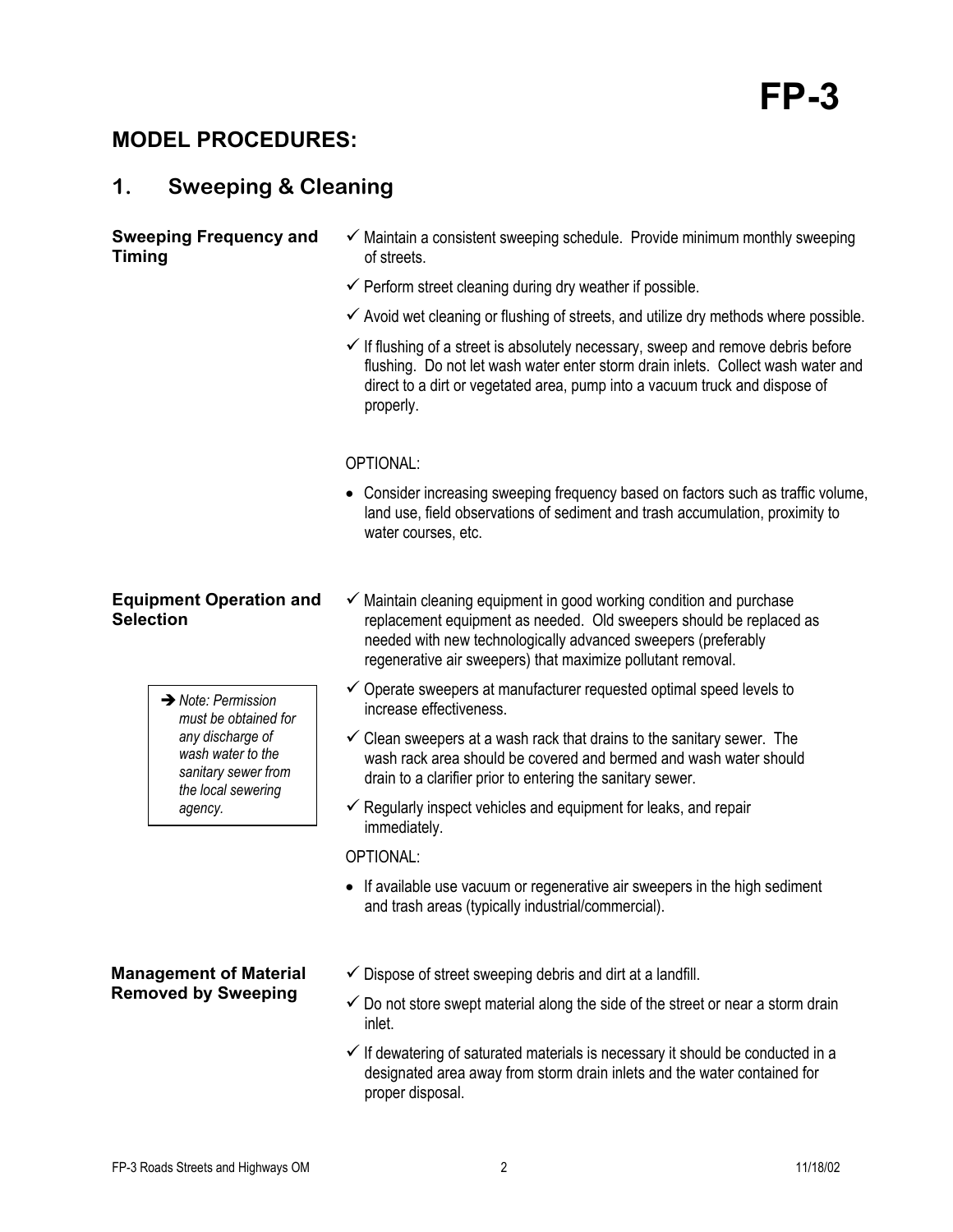# **MODEL PROCEDURES:**

# **1. Sweeping & Cleaning**

### **Sweeping Frequency and Timing**

- $\checkmark$  Maintain a consistent sweeping schedule. Provide minimum monthly sweeping of streets.
- $\checkmark$  Perform street cleaning during dry weather if possible.
- $\checkmark$  Avoid wet cleaning or flushing of streets, and utilize dry methods where possible.
- $\checkmark$  If flushing of a street is absolutely necessary, sweep and remove debris before flushing. Do not let wash water enter storm drain inlets. Collect wash water and direct to a dirt or vegetated area, pump into a vacuum truck and dispose of properly.

### OPTIONAL:

• Consider increasing sweeping frequency based on factors such as traffic volume, land use, field observations of sediment and trash accumulation, proximity to water courses, etc.

### **Equipment Operation and Selection**

Î*Note: Permission must be obtained for any discharge of wash water to the sanitary sewer from the local sewering agency.* 

- $\checkmark$  Maintain cleaning equipment in good working condition and purchase replacement equipment as needed. Old sweepers should be replaced as needed with new technologically advanced sweepers (preferably regenerative air sweepers) that maximize pollutant removal.
- $\checkmark$  Operate sweepers at manufacturer requested optimal speed levels to increase effectiveness.
- $\checkmark$  Clean sweepers at a wash rack that drains to the sanitary sewer. The wash rack area should be covered and bermed and wash water should drain to a clarifier prior to entering the sanitary sewer.
- $\checkmark$  Regularly inspect vehicles and equipment for leaks, and repair immediately.

OPTIONAL:

- If available use vacuum or regenerative air sweepers in the high sediment and trash areas (typically industrial/commercial).
- **Management of Material Removed by Sweeping**
- $\checkmark$  Dispose of street sweeping debris and dirt at a landfill.
- $\checkmark$  Do not store swept material along the side of the street or near a storm drain inlet.
- $\checkmark$  If dewatering of saturated materials is necessary it should be conducted in a designated area away from storm drain inlets and the water contained for proper disposal.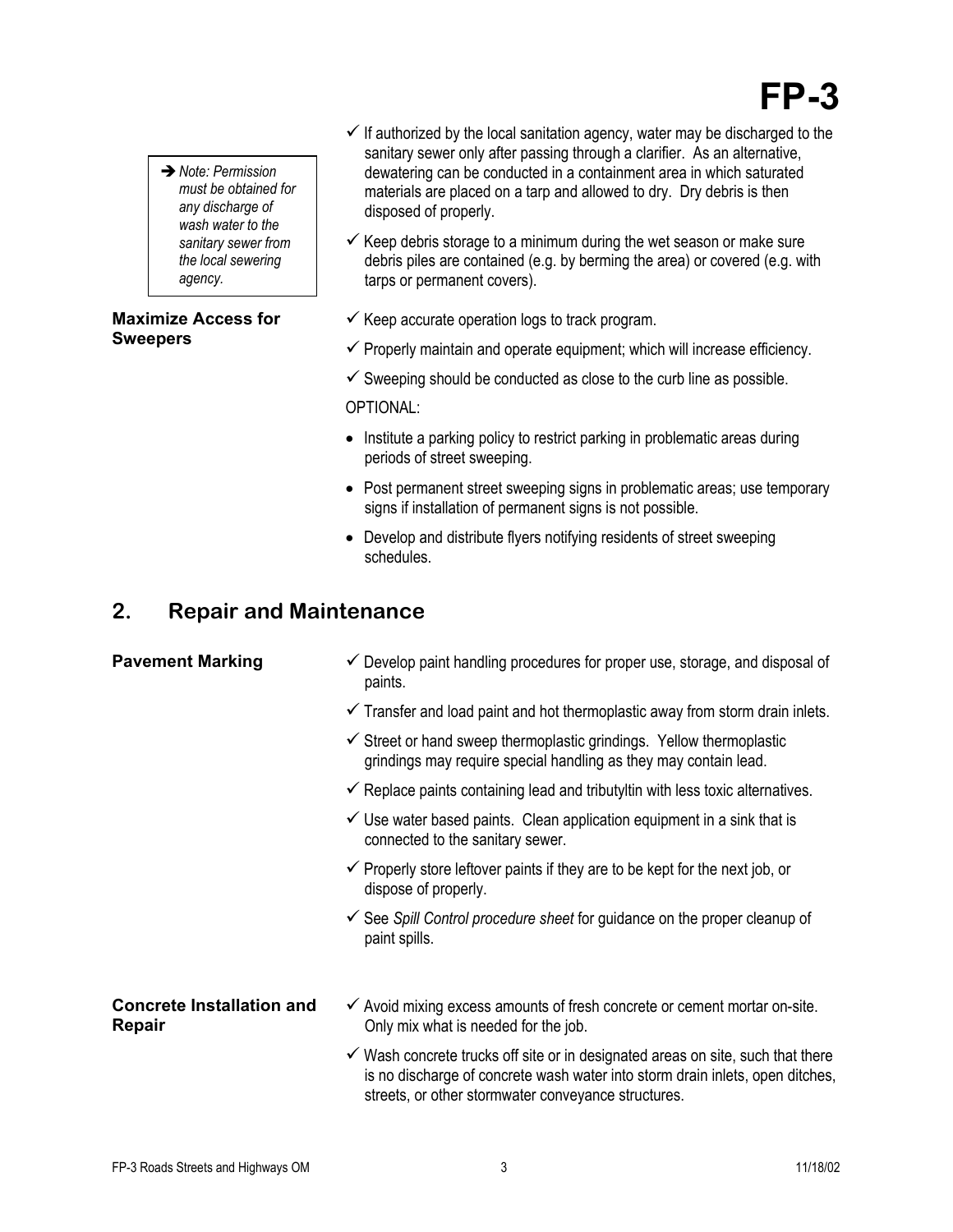# **FP-3**

**→ Note: Permission** *must be obtained for any discharge of wash water to the sanitary sewer from the local sewering agency.* 

### **Maximize Access for Sweepers**

- $\checkmark$  If authorized by the local sanitation agency, water may be discharged to the sanitary sewer only after passing through a clarifier. As an alternative, dewatering can be conducted in a containment area in which saturated materials are placed on a tarp and allowed to dry. Dry debris is then disposed of properly.
- $\checkmark$  Keep debris storage to a minimum during the wet season or make sure debris piles are contained (e.g. by berming the area) or covered (e.g. with tarps or permanent covers).
- $\checkmark$  Keep accurate operation logs to track program.
- $\checkmark$  Properly maintain and operate equipment; which will increase efficiency.
- $\checkmark$  Sweeping should be conducted as close to the curb line as possible.

OPTIONAL:

- Institute a parking policy to restrict parking in problematic areas during periods of street sweeping.
- Post permanent street sweeping signs in problematic areas; use temporary signs if installation of permanent signs is not possible.
- Develop and distribute flyers notifying residents of street sweeping schedules.

# **2. Repair and Maintenance**

- **Pavement Marking**  $\checkmark$  **Develop paint handling procedures for proper use, storage, and disposal of** paints.
	- $\checkmark$  Transfer and load paint and hot thermoplastic away from storm drain inlets.
	- $\checkmark$  Street or hand sweep thermoplastic grindings. Yellow thermoplastic grindings may require special handling as they may contain lead.
	- $\checkmark$  Replace paints containing lead and tributyltin with less toxic alternatives.
	- $\checkmark$  Use water based paints. Clean application equipment in a sink that is connected to the sanitary sewer.
	- $\checkmark$  Properly store leftover paints if they are to be kept for the next job, or dispose of properly.
	- $\checkmark$  See *Spill Control procedure sheet* for guidance on the proper cleanup of paint spills.

### **Concrete Installation and Repair**

- $\checkmark$  Avoid mixing excess amounts of fresh concrete or cement mortar on-site. Only mix what is needed for the job.
- $\checkmark$  Wash concrete trucks off site or in designated areas on site, such that there is no discharge of concrete wash water into storm drain inlets, open ditches, streets, or other stormwater conveyance structures.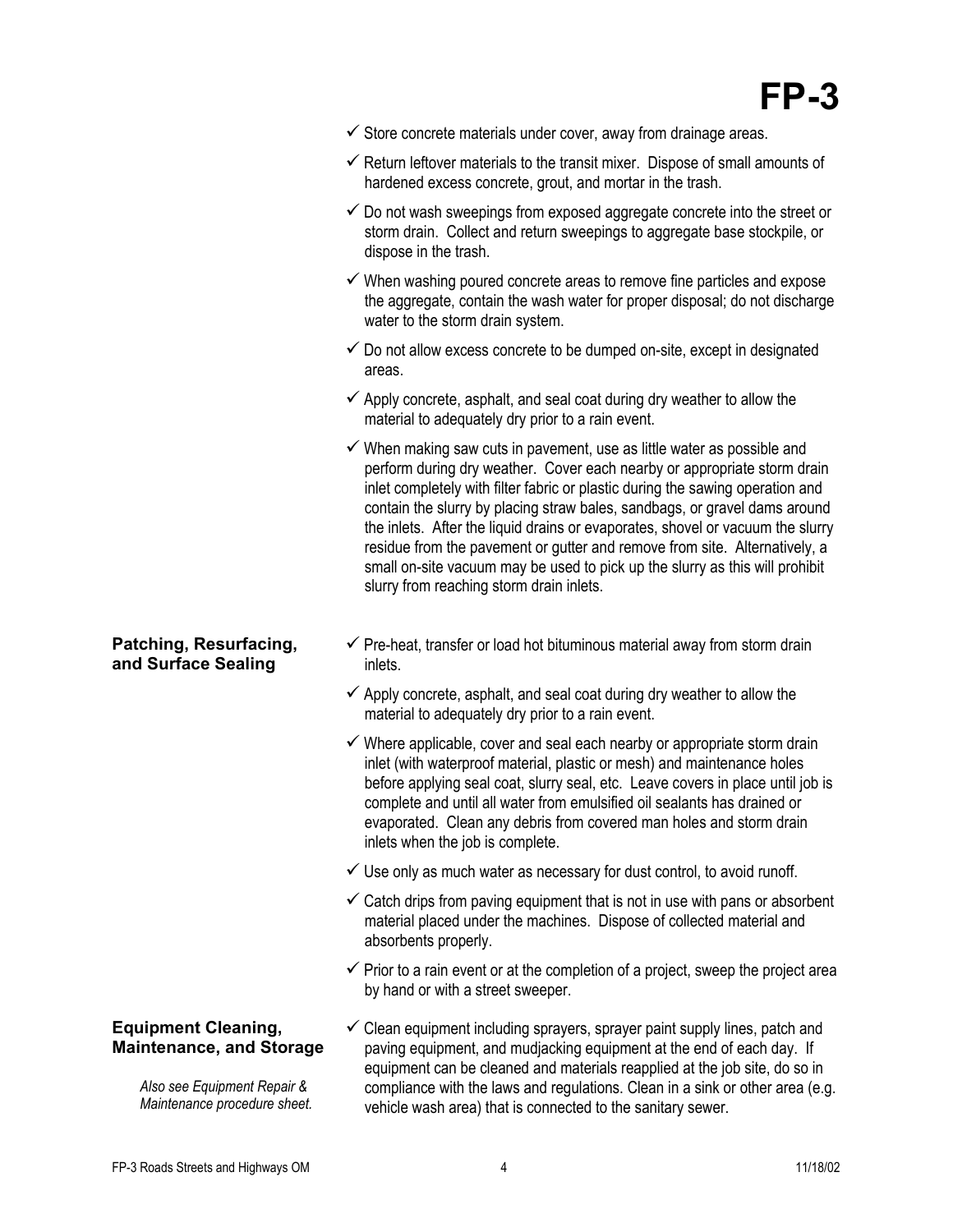- $\checkmark$  Store concrete materials under cover, away from drainage areas.
- $\checkmark$  Return leftover materials to the transit mixer. Dispose of small amounts of hardened excess concrete, grout, and mortar in the trash.
- $\checkmark$  Do not wash sweepings from exposed aggregate concrete into the street or storm drain. Collect and return sweepings to aggregate base stockpile, or dispose in the trash.
- $\checkmark$  When washing poured concrete areas to remove fine particles and expose the aggregate, contain the wash water for proper disposal; do not discharge water to the storm drain system.
- $\checkmark$  Do not allow excess concrete to be dumped on-site, except in designated areas.
- $\checkmark$  Apply concrete, asphalt, and seal coat during dry weather to allow the material to adequately dry prior to a rain event.
- $\checkmark$  When making saw cuts in pavement, use as little water as possible and perform during dry weather. Cover each nearby or appropriate storm drain inlet completely with filter fabric or plastic during the sawing operation and contain the slurry by placing straw bales, sandbags, or gravel dams around the inlets. After the liquid drains or evaporates, shovel or vacuum the slurry residue from the pavement or gutter and remove from site. Alternatively, a small on-site vacuum may be used to pick up the slurry as this will prohibit slurry from reaching storm drain inlets.
- $\checkmark$  Pre-heat, transfer or load hot bituminous material away from storm drain inlets.
- $\checkmark$  Apply concrete, asphalt, and seal coat during dry weather to allow the material to adequately dry prior to a rain event.
- $\checkmark$  Where applicable, cover and seal each nearby or appropriate storm drain inlet (with waterproof material, plastic or mesh) and maintenance holes before applying seal coat, slurry seal, etc. Leave covers in place until job is complete and until all water from emulsified oil sealants has drained or evaporated. Clean any debris from covered man holes and storm drain inlets when the job is complete.
- $\checkmark$  Use only as much water as necessary for dust control, to avoid runoff.
- $\checkmark$  Catch drips from paving equipment that is not in use with pans or absorbent material placed under the machines. Dispose of collected material and absorbents properly.
- $\checkmark$  Prior to a rain event or at the completion of a project, sweep the project area by hand or with a street sweeper.
- $\checkmark$  Clean equipment including sprayers, sprayer paint supply lines, patch and paving equipment, and mudjacking equipment at the end of each day. If equipment can be cleaned and materials reapplied at the job site, do so in compliance with the laws and regulations. Clean in a sink or other area (e.g. vehicle wash area) that is connected to the sanitary sewer.

### **Patching, Resurfacing, and Surface Sealing**

### **Equipment Cleaning, Maintenance, and Storage**

*Also see Equipment Repair & Maintenance procedure sheet.*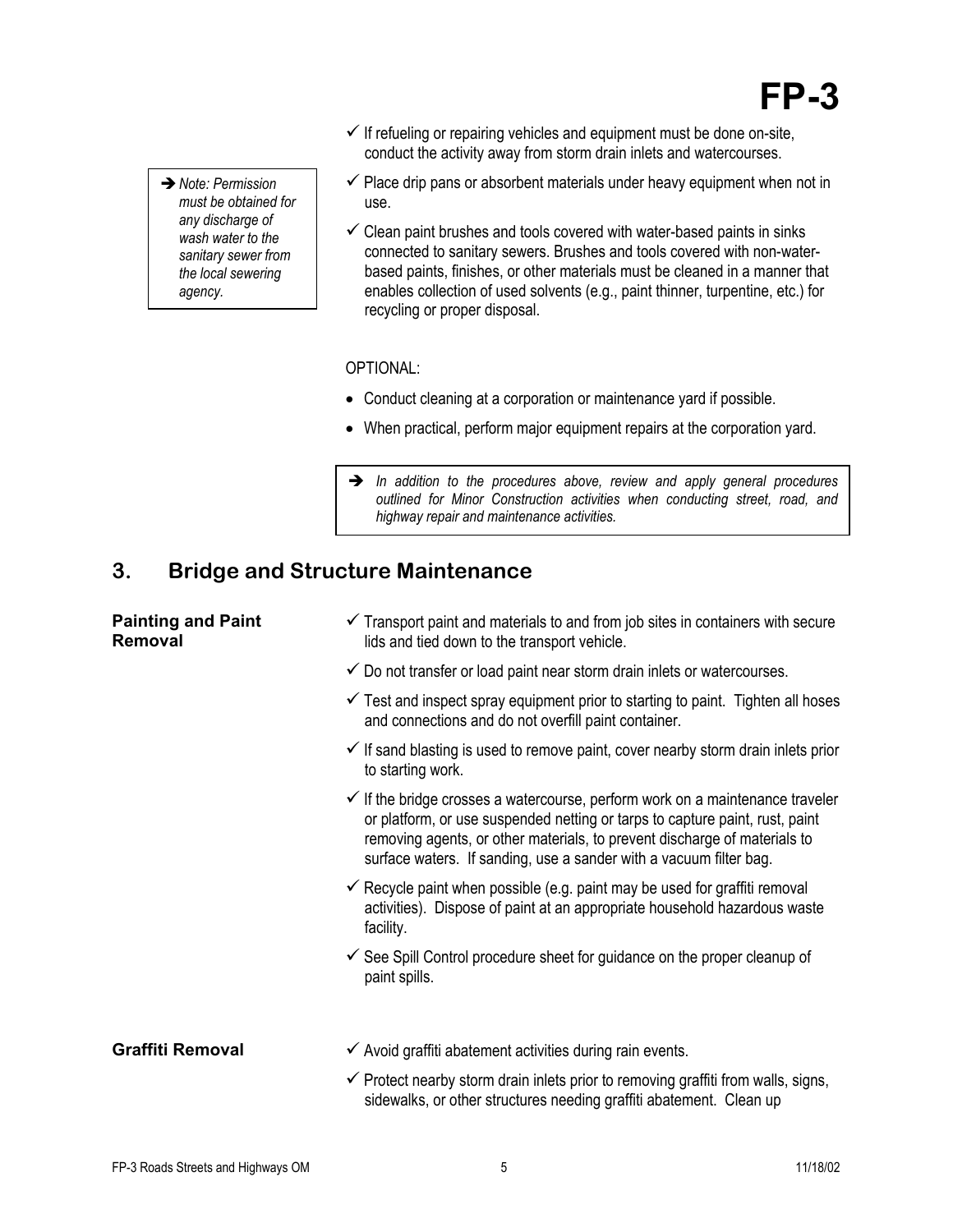# **FP-3**

- **→** Note: Permission *must be obtained for any discharge of wash water to the sanitary sewer from the local sewering agency.*
- $\checkmark$  If refueling or repairing vehicles and equipment must be done on-site, conduct the activity away from storm drain inlets and watercourses.
- $\checkmark$  Place drip pans or absorbent materials under heavy equipment when not in use.
- $\checkmark$  Clean paint brushes and tools covered with water-based paints in sinks connected to sanitary sewers. Brushes and tools covered with non-waterbased paints, finishes, or other materials must be cleaned in a manner that enables collection of used solvents (e.g., paint thinner, turpentine, etc.) for recycling or proper disposal.

OPTIONAL:

- Conduct cleaning at a corporation or maintenance yard if possible.
- When practical, perform major equipment repairs at the corporation yard.
- $\rightarrow$  In addition to the procedures above, review and apply general procedures *outlined for Minor Construction activities when conducting street, road, and highway repair and maintenance activities.*

## **3. Bridge and Structure Maintenance**

### **Painting and Paint Removal**

- $\checkmark$  Transport paint and materials to and from job sites in containers with secure lids and tied down to the transport vehicle.
- $\checkmark$  Do not transfer or load paint near storm drain inlets or watercourses.
- $\checkmark$  Test and inspect spray equipment prior to starting to paint. Tighten all hoses and connections and do not overfill paint container.
- $\checkmark$  If sand blasting is used to remove paint, cover nearby storm drain inlets prior to starting work.
- $\checkmark$  If the bridge crosses a watercourse, perform work on a maintenance traveler or platform, or use suspended netting or tarps to capture paint, rust, paint removing agents, or other materials, to prevent discharge of materials to surface waters. If sanding, use a sander with a vacuum filter bag.
- $\checkmark$  Recycle paint when possible (e.g. paint may be used for graffiti removal activities). Dispose of paint at an appropriate household hazardous waste facility.
- $\checkmark$  See Spill Control procedure sheet for guidance on the proper cleanup of paint spills.
- Graffiti Removal  $\checkmark$  Avoid graffiti abatement activities during rain events.
	- $\checkmark$  Protect nearby storm drain inlets prior to removing graffiti from walls, signs, sidewalks, or other structures needing graffiti abatement. Clean up